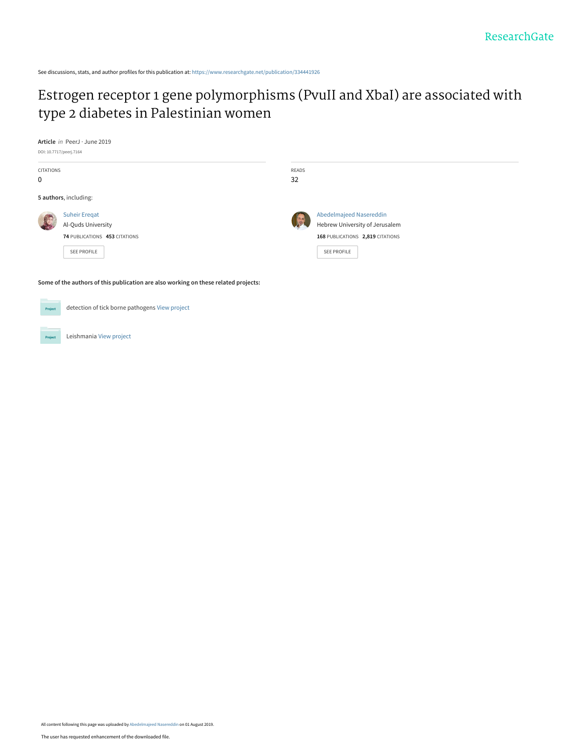See discussions, stats, and author profiles for this publication at: [https://www.researchgate.net/publication/334441926](https://www.researchgate.net/publication/334441926_Estrogen_receptor_1_gene_polymorphisms_PvuII_and_XbaI_are_associated_with_type_2_diabetes_in_Palestinian_women?enrichId=rgreq-6138428e6c52417d83e57b7da8ceefcd-XXX&enrichSource=Y292ZXJQYWdlOzMzNDQ0MTkyNjtBUzo3ODY5NjY4NzQ0MzE0ODhAMTU2NDYzODkzMjk1OA%3D%3D&el=1_x_2&_esc=publicationCoverPdf)

# [Estrogen receptor 1 gene polymorphisms \(PvuII and XbaI\) are associated with](https://www.researchgate.net/publication/334441926_Estrogen_receptor_1_gene_polymorphisms_PvuII_and_XbaI_are_associated_with_type_2_diabetes_in_Palestinian_women?enrichId=rgreq-6138428e6c52417d83e57b7da8ceefcd-XXX&enrichSource=Y292ZXJQYWdlOzMzNDQ0MTkyNjtBUzo3ODY5NjY4NzQ0MzE0ODhAMTU2NDYzODkzMjk1OA%3D%3D&el=1_x_3&_esc=publicationCoverPdf) type 2 diabetes in Palestinian women

**Article** in PeerJ · June 2019

DOI: 10.7717/peerj.7164

| CITATIONS<br>$\mathbf 0$ |                                                                                            | READS<br>32 |                                                                                                                     |
|--------------------------|--------------------------------------------------------------------------------------------|-------------|---------------------------------------------------------------------------------------------------------------------|
|                          | 5 authors, including:                                                                      |             |                                                                                                                     |
|                          | <b>Suheir Eregat</b><br>Al-Quds University<br>74 PUBLICATIONS 453 CITATIONS<br>SEE PROFILE |             | Abedelmajeed Nasereddin<br>Hebrew University of Jerusalem<br>168 PUBLICATIONS 2,819 CITATIONS<br><b>SEE PROFILE</b> |
|                          | Some of the authors of this publication are also working on these related projects:        |             |                                                                                                                     |
| Project                  | detection of tick borne pathogens View project                                             |             |                                                                                                                     |

Leishmania [View project](https://www.researchgate.net/project/Leishmania-11?enrichId=rgreq-6138428e6c52417d83e57b7da8ceefcd-XXX&enrichSource=Y292ZXJQYWdlOzMzNDQ0MTkyNjtBUzo3ODY5NjY4NzQ0MzE0ODhAMTU2NDYzODkzMjk1OA%3D%3D&el=1_x_9&_esc=publicationCoverPdf) Project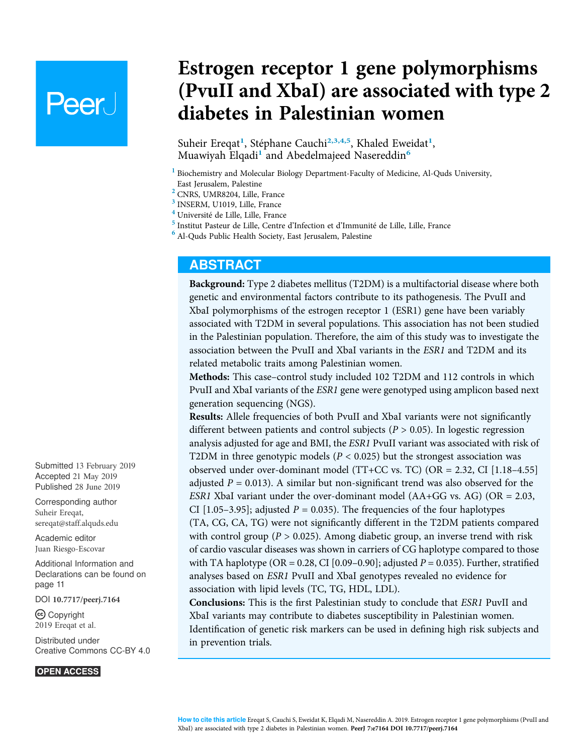# **Peer**

# Estrogen receptor 1 gene polymorphisms (PvuII and XbaI) are associated with type 2 diabetes in Palestinian women

Suheir Ereqat<sup>[1](#page-1-0)</sup>, Stéphane Cauchi<sup>[2,](#page-1-1)[3,](#page-1-2)[4,](#page-1-3)[5](#page-1-4)</sup>, Khaled Eweidat<sup>1</sup>, Muawiyah Elqadi<sup>[1](#page-1-0)</sup> and Abedelmajeed Nasereddin<sup>[6](#page-1-5)</sup>

- <span id="page-1-0"></span><sup>1</sup> Biochemistry and Molecular Biology Department-Faculty of Medicine, Al-Quds University, East Jerusalem, Palestine
- <span id="page-1-1"></span><sup>2</sup> CNRS, UMR8204, Lille, France
- <span id="page-1-2"></span><sup>3</sup> INSERM, U1019, Lille, France
- <span id="page-1-3"></span><sup>4</sup> Université de Lille, Lille, France
- <span id="page-1-4"></span><sup>5</sup> Institut Pasteur de Lille, Centre d'Infection et d'Immunité de Lille, Lille, France
- <span id="page-1-5"></span><sup>6</sup> Al-Quds Public Health Society, East Jerusalem, Palestine

#### ABSTRACT

Background: Type 2 diabetes mellitus (T2DM) is a multifactorial disease where both genetic and environmental factors contribute to its pathogenesis. The PvuII and XbaI polymorphisms of the estrogen receptor 1 (ESR1) gene have been variably associated with T2DM in several populations. This association has not been studied in the Palestinian population. Therefore, the aim of this study was to investigate the association between the PvuII and XbaI variants in the ESR1 and T2DM and its related metabolic traits among Palestinian women.

Methods: This case–control study included 102 T2DM and 112 controls in which PvuII and XbaI variants of the ESR1 gene were genotyped using amplicon based next generation sequencing (NGS).

Results: Allele frequencies of both PvuII and XbaI variants were not significantly different between patients and control subjects ( $P > 0.05$ ). In logestic regression analysis adjusted for age and BMI, the ESR1 PvuII variant was associated with risk of T2DM in three genotypic models ( $P < 0.025$ ) but the strongest association was observed under over-dominant model (TT+CC vs. TC) (OR = 2.32, CI [1.18–4.55] adjusted  $P = 0.013$ ). A similar but non-significant trend was also observed for the ESR1 XbaI variant under the over-dominant model  $(AA+GG$  vs. AG)  $(OR = 2.03,$ CI [1.05–3.95]; adjusted  $P = 0.035$ ). The frequencies of the four haplotypes (TA, CG, CA, TG) were not significantly different in the T2DM patients compared with control group ( $P > 0.025$ ). Among diabetic group, an inverse trend with risk of cardio vascular diseases was shown in carriers of CG haplotype compared to those with TA haplotype (OR = 0.28, CI [0.09–0.90]; adjusted  $P = 0.035$ ). Further, stratified analyses based on ESR1 PvuII and XbaI genotypes revealed no evidence for association with lipid levels (TC, TG, HDL, LDL).

Conclusions: This is the first Palestinian study to conclude that ESR1 PuvII and XbaI variants may contribute to diabetes susceptibility in Palestinian women. Identification of genetic risk markers can be used in defining high risk subjects and in prevention trials.

Submitted 13 February 2019 Accepted 21 May 2019 Published 28 June 2019

Corresponding author Suheir Ereqat, [sereqat@staff.alquds.edu](mailto:sereqat@�staff.�alquds.�edu)

[Academic editor](https://peerj.com/academic-boards/editors/) [Juan Riesgo-Escovar](https://peerj.com/academic-boards/editors/)

[Additional Information and](#page-11-0) [Declarations can be found on](#page-11-0) [page 11](#page-11-0)

DOI [10.7717/peerj.7164](http://dx.doi.org/10.7717/peerj.7164)

Copyright 2019 Ereqat et al.

[Distributed under](http://www.creativecommons.org/licenses/by/4.0/) [Creative Commons CC-BY 4.0](http://www.creativecommons.org/licenses/by/4.0/)

#### **OPEN ACCESS**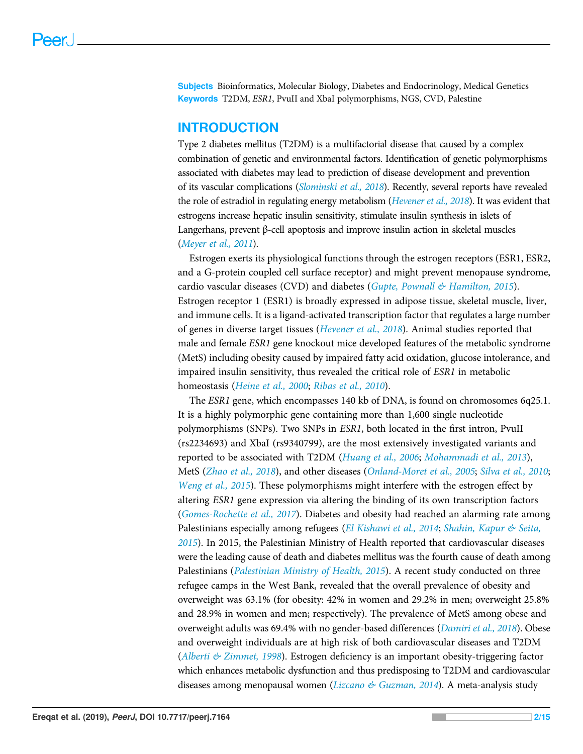Subjects Bioinformatics, Molecular Biology, Diabetes and Endocrinology, Medical Genetics Keywords T2DM, ESR1, PvuII and XbaI polymorphisms, NGS, CVD, Palestine

#### INTRODUCTION

Type 2 diabetes mellitus (T2DM) is a multifactorial disease that caused by a complex combination of genetic and environmental factors. Identification of genetic polymorphisms associated with diabetes may lead to prediction of disease development and prevention of its vascular complications ([Slominski et al., 2018](#page-15-0)). Recently, several reports have revealed the role of estradiol in regulating energy metabolism ([Hevener et al., 2018](#page-13-0)). It was evident that estrogens increase hepatic insulin sensitivity, stimulate insulin synthesis in islets of Langerhans, prevent β-cell apoptosis and improve insulin action in skeletal muscles ([Meyer et al., 2011](#page-14-0)).

Estrogen exerts its physiological functions through the estrogen receptors (ESR1, ESR2, and a G-protein coupled cell surface receptor) and might prevent menopause syndrome, cardio vascular diseases (CVD) and diabetes (Gupte, Pownall  $\&$  Hamilton, 2015). Estrogen receptor 1 (ESR1) is broadly expressed in adipose tissue, skeletal muscle, liver, and immune cells. It is a ligand-activated transcription factor that regulates a large number of genes in diverse target tissues ([Hevener et al., 2018](#page-13-0)). Animal studies reported that male and female ESR1 gene knockout mice developed features of the metabolic syndrome (MetS) including obesity caused by impaired fatty acid oxidation, glucose intolerance, and impaired insulin sensitivity, thus revealed the critical role of ESR1 in metabolic homeostasis ([Heine et al., 2000](#page-13-2); [Ribas et al., 2010](#page-14-1)).

The ESR1 gene, which encompasses 140 kb of DNA, is found on chromosomes 6q25.1. It is a highly polymorphic gene containing more than 1,600 single nucleotide polymorphisms (SNPs). Two SNPs in ESR1, both located in the first intron, PvuII (rs2234693) and XbaI (rs9340799), are the most extensively investigated variants and reported to be associated with T2DM ([Huang et al., 2006](#page-13-3); [Mohammadi et al., 2013](#page-14-2)), MetS ([Zhao et al., 2018](#page-15-1)), and other diseases ([Onland-Moret et al., 2005](#page-14-3); [Silva et al., 2010](#page-14-4); [Weng et al., 2015](#page-15-2)). These polymorphisms might interfere with the estrogen effect by altering ESR1 gene expression via altering the binding of its own transcription factors ([Gomes-Rochette et al., 2017](#page-13-4)). Diabetes and obesity had reached an alarming rate among Palestinians especially among refugees ([El Kishawi et al., 2014](#page-12-0); [Shahin, Kapur & Seita,](#page-14-5) [2015](#page-14-5)). In 2015, the Palestinian Ministry of Health reported that cardiovascular diseases were the leading cause of death and diabetes mellitus was the fourth cause of death among Palestinians ([Palestinian Ministry of Health, 2015](#page-14-6)). A recent study conducted on three refugee camps in the West Bank, revealed that the overall prevalence of obesity and overweight was 63.1% (for obesity: 42% in women and 29.2% in men; overweight 25.8% and 28.9% in women and men; respectively). The prevalence of MetS among obese and overweight adults was 69.4% with no gender-based differences ([Damiri et al., 2018](#page-12-1)). Obese and overweight individuals are at high risk of both cardiovascular diseases and T2DM (Alberti  $\mathscr{C}$  Zimmet, 1998). Estrogen deficiency is an important obesity-triggering factor which enhances metabolic dysfunction and thus predisposing to T2DM and cardiovascular diseases among menopausal women ([Lizcano & Guzman, 2014](#page-13-5)). A meta-analysis study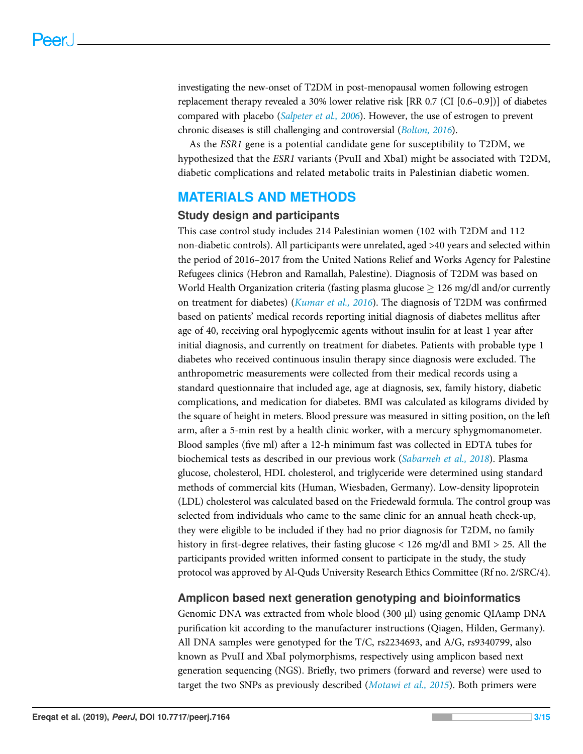investigating the new-onset of T2DM in post-menopausal women following estrogen replacement therapy revealed a 30% lower relative risk [RR 0.7 (CI [0.6–0.9])] of diabetes compared with placebo (*[Salpeter et al., 2006](#page-14-7)*). However, the use of estrogen to prevent chronic diseases is still challenging and controversial ([Bolton, 2016](#page-12-3)).

As the ESR1 gene is a potential candidate gene for susceptibility to T2DM, we hypothesized that the ESR1 variants (PvuII and XbaI) might be associated with T2DM, diabetic complications and related metabolic traits in Palestinian diabetic women.

# MATERIALS AND METHODS

#### Study design and participants

This case control study includes 214 Palestinian women (102 with T2DM and 112 non-diabetic controls). All participants were unrelated, aged >40 years and selected within the period of 2016–2017 from the United Nations Relief and Works Agency for Palestine Refugees clinics (Hebron and Ramallah, Palestine). Diagnosis of T2DM was based on World Health Organization criteria (fasting plasma glucose  $\geq 126$  mg/dl and/or currently on treatment for diabetes) (*[Kumar et al., 2016](#page-13-6)*). The diagnosis of T2DM was confirmed based on patients' medical records reporting initial diagnosis of diabetes mellitus after age of 40, receiving oral hypoglycemic agents without insulin for at least 1 year after initial diagnosis, and currently on treatment for diabetes. Patients with probable type 1 diabetes who received continuous insulin therapy since diagnosis were excluded. The anthropometric measurements were collected from their medical records using a standard questionnaire that included age, age at diagnosis, sex, family history, diabetic complications, and medication for diabetes. BMI was calculated as kilograms divided by the square of height in meters. Blood pressure was measured in sitting position, on the left arm, after a 5-min rest by a health clinic worker, with a mercury sphygmomanometer. Blood samples (five ml) after a 12-h minimum fast was collected in EDTA tubes for biochemical tests as described in our previous work ([Sabarneh et al., 2018](#page-14-8)). Plasma glucose, cholesterol, HDL cholesterol, and triglyceride were determined using standard methods of commercial kits (Human, Wiesbaden, Germany). Low-density lipoprotein (LDL) cholesterol was calculated based on the Friedewald formula. The control group was selected from individuals who came to the same clinic for an annual heath check-up, they were eligible to be included if they had no prior diagnosis for T2DM, no family history in first-degree relatives, their fasting glucose < 126 mg/dl and BMI > 25. All the participants provided written informed consent to participate in the study, the study protocol was approved by Al-Quds University Research Ethics Committee (Rf no. 2/SRC/4).

### Amplicon based next generation genotyping and bioinformatics

Genomic DNA was extracted from whole blood (300 µl) using genomic QIAamp DNA purification kit according to the manufacturer instructions (Qiagen, Hilden, Germany). All DNA samples were genotyped for the T/C, rs2234693, and A/G, rs9340799, also known as PvuII and XbaI polymorphisms, respectively using amplicon based next generation sequencing (NGS). Briefly, two primers (forward and reverse) were used to target the two SNPs as previously described ([Motawi et al., 2015](#page-14-9)). Both primers were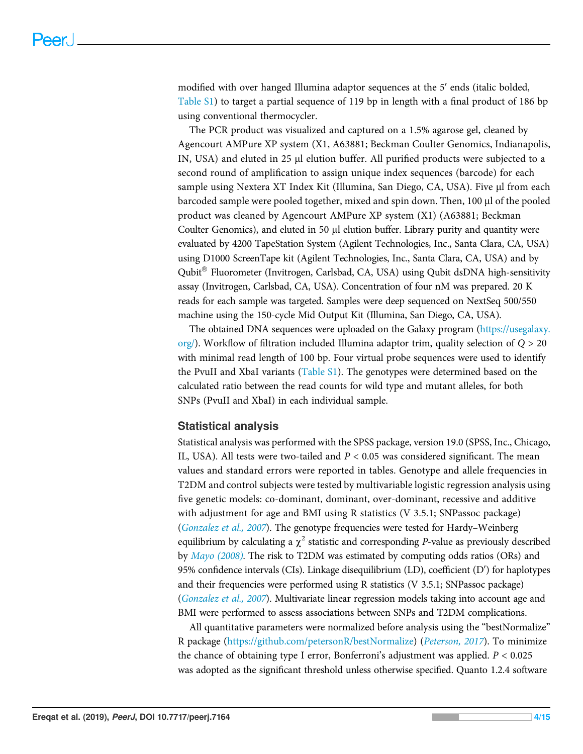modified with over hanged Illumina adaptor sequences at the 5′ ends (italic bolded, [Table S1\)](http://dx.doi.org/10.7717/peerj.7164/supp-1) to target a partial sequence of 119 bp in length with a final product of 186 bp using conventional thermocycler.

The PCR product was visualized and captured on a 1.5% agarose gel, cleaned by Agencourt AMPure XP system (X1, A63881; Beckman Coulter Genomics, Indianapolis, IN, USA) and eluted in 25 µl elution buffer. All purified products were subjected to a second round of amplification to assign unique index sequences (barcode) for each sample using Nextera XT Index Kit (Illumina, San Diego, CA, USA). Five µl from each barcoded sample were pooled together, mixed and spin down. Then, 100 µl of the pooled product was cleaned by Agencourt AMPure XP system (X1) (A63881; Beckman Coulter Genomics), and eluted in 50 µl elution buffer. Library purity and quantity were evaluated by 4200 TapeStation System (Agilent Technologies, Inc., Santa Clara, CA, USA) using D1000 ScreenTape kit (Agilent Technologies, Inc., Santa Clara, CA, USA) and by Qubit Fluorometer (Invitrogen, Carlsbad, CA, USA) using Qubit dsDNA high-sensitivity assay (Invitrogen, Carlsbad, CA, USA). Concentration of four nM was prepared. 20 K reads for each sample was targeted. Samples were deep sequenced on NextSeq 500/550 machine using the 150-cycle Mid Output Kit (Illumina, San Diego, CA, USA).

The obtained DNA sequences were uploaded on the Galaxy program [\(https://usegalaxy.](https://usegalaxy.org/)  $\sigma$ [org/](https://usegalaxy.org/)). Workflow of filtration included Illumina adaptor trim, quality selection of Q > 20 with minimal read length of 100 bp. Four virtual probe sequences were used to identify the PvuII and XbaI variants ([Table S1\)](http://dx.doi.org/10.7717/peerj.7164/supp-1). The genotypes were determined based on the calculated ratio between the read counts for wild type and mutant alleles, for both SNPs (PvuII and XbaI) in each individual sample.

#### Statistical analysis

Statistical analysis was performed with the SPSS package, version 19.0 (SPSS, Inc., Chicago, IL, USA). All tests were two-tailed and  $P < 0.05$  was considered significant. The mean values and standard errors were reported in tables. Genotype and allele frequencies in T2DM and control subjects were tested by multivariable logistic regression analysis using five genetic models: co-dominant, dominant, over-dominant, recessive and additive with adjustment for age and BMI using R statistics (V 3.5.1; SNPassoc package) ([Gonzalez et al., 2007](#page-13-7)). The genotype frequencies were tested for Hardy–Weinberg equilibrium by calculating a  $\chi^2$  statistic and corresponding *P*-value as previously described by [Mayo \(2008\)](#page-13-8). The risk to T2DM was estimated by computing odds ratios (ORs) and 95% confidence intervals (CIs). Linkage disequilibrium (LD), coefficient (D′) for haplotypes and their frequencies were performed using R statistics (V 3.5.1; SNPassoc package) ([Gonzalez et al., 2007](#page-13-7)). Multivariate linear regression models taking into account age and BMI were performed to assess associations between SNPs and T2DM complications.

All quantitative parameters were normalized before analysis using the "bestNormalize" R package (<https://github.com/petersonR/bestNormalize>) ([Peterson, 2017](#page-14-10)). To minimize the chance of obtaining type I error, Bonferroni's adjustment was applied.  $P < 0.025$ was adopted as the significant threshold unless otherwise specified. Quanto 1.2.4 software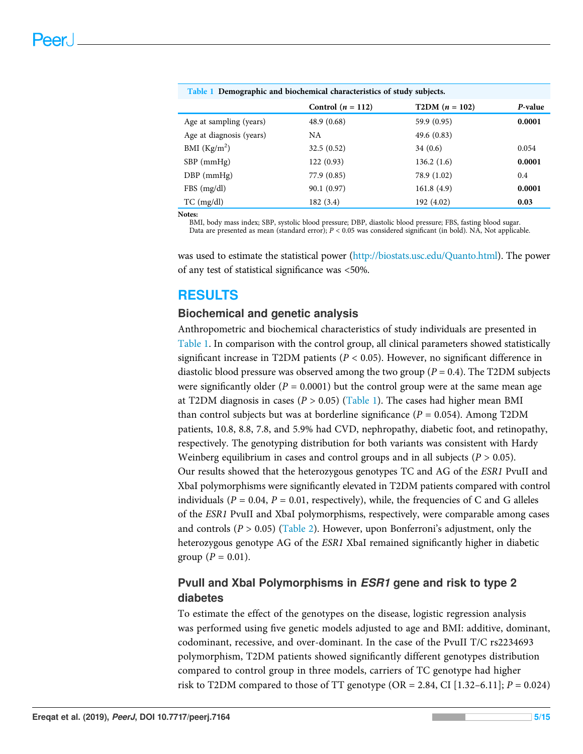<span id="page-5-0"></span>

| Table 1 Demographic and biochemical characteristics of study subjects. |                     |                  |         |  |  |  |
|------------------------------------------------------------------------|---------------------|------------------|---------|--|--|--|
|                                                                        | Control $(n = 112)$ | $T2DM (n = 102)$ | P-value |  |  |  |
| Age at sampling (years)                                                | 48.9 (0.68)         | 59.9 (0.95)      | 0.0001  |  |  |  |
| Age at diagnosis (years)                                               | NA                  | 49.6(0.83)       |         |  |  |  |
| BMI $(Kg/m2)$                                                          | 32.5(0.52)          | 34(0.6)          | 0.054   |  |  |  |
| $SBP$ (mmHg)                                                           | 122(0.93)           | 136.2(1.6)       | 0.0001  |  |  |  |
| $DBP$ (mmHg)                                                           | 77.9 (0.85)         | 78.9 (1.02)      | 0.4     |  |  |  |
| FBS(mg/dl)                                                             | 90.1 (0.97)         | 161.8(4.9)       | 0.0001  |  |  |  |
| $TC$ (mg/dl)                                                           | 182(3.4)            | 192 (4.02)       | 0.03    |  |  |  |
| $\mathbf{M}$ afaa.                                                     |                     |                  |         |  |  |  |

Notes:

BMI, body mass index; SBP, systolic blood pressure; DBP, diastolic blood pressure; FBS, fasting blood sugar. Data are presented as mean (standard error); P < 0.05 was considered significant (in bold). NA, Not applicable.

was used to estimate the statistical power ([http://biostats.usc.edu/Quanto.html\)](http://biostats.usc.edu/Quanto.html). The power of any test of statistical significance was <50%.

# RESULTS

#### Biochemical and genetic analysis

Anthropometric and biochemical characteristics of study individuals are presented in [Table 1](#page-5-0). In comparison with the control group, all clinical parameters showed statistically significant increase in T2DM patients ( $P < 0.05$ ). However, no significant difference in diastolic blood pressure was observed among the two group ( $P = 0.4$ ). The T2DM subjects were significantly older ( $P = 0.0001$ ) but the control group were at the same mean age at T2DM diagnosis in cases ( $P > 0.05$ ) ([Table 1](#page-5-0)). The cases had higher mean BMI than control subjects but was at borderline significance ( $P = 0.054$ ). Among T2DM patients, 10.8, 8.8, 7.8, and 5.9% had CVD, nephropathy, diabetic foot, and retinopathy, respectively. The genotyping distribution for both variants was consistent with Hardy Weinberg equilibrium in cases and control groups and in all subjects  $(P > 0.05)$ . Our results showed that the heterozygous genotypes TC and AG of the ESR1 PvuII and XbaI polymorphisms were significantly elevated in T2DM patients compared with control individuals ( $P = 0.04$ ,  $P = 0.01$ , respectively), while, the frequencies of C and G alleles of the ESR1 PvuII and XbaI polymorphisms, respectively, were comparable among cases and controls ( $P > 0.05$ ) ([Table 2](#page-6-0)). However, upon Bonferroni's adjustment, only the heterozygous genotype AG of the *ESR1* XbaI remained significantly higher in diabetic group ( $P = 0.01$ ).

# Pvull and Xbal Polymorphisms in *ESR1* gene and risk to type 2 diabetes

To estimate the effect of the genotypes on the disease, logistic regression analysis was performed using five genetic models adjusted to age and BMI: additive, dominant, codominant, recessive, and over-dominant. In the case of the PvuII T/C rs2234693 polymorphism, T2DM patients showed significantly different genotypes distribution compared to control group in three models, carriers of TC genotype had higher risk to T2DM compared to those of TT genotype (OR = 2.84, CI [1.32–6.11];  $P = 0.024$ )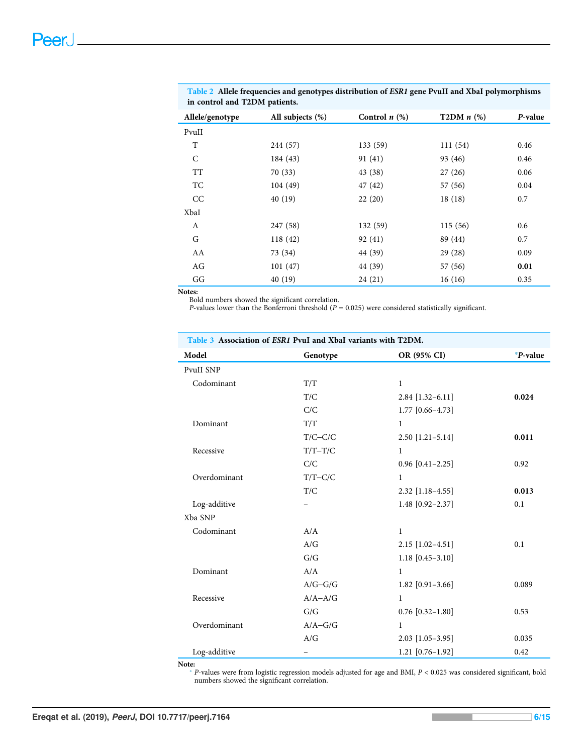| Allele/genotype | All subjects $(\%)$ | Control $n$ $(\%)$ | T2DM $n$ $(\%)$ | P-value |
|-----------------|---------------------|--------------------|-----------------|---------|
| PvuII           |                     |                    |                 |         |
| T               | 244 (57)            | 133 (59)           | 111(54)         | 0.46    |
| C               | 184 (43)            | 91(41)             | 93 (46)         | 0.46    |
| <b>TT</b>       | 70(33)              | 43 (38)            | 27(26)          | 0.06    |
| TC              | 104(49)             | 47 (42)            | 57 (56)         | 0.04    |
| CC              | 40(19)              | 22(20)             | 18(18)          | 0.7     |
| XbaI            |                     |                    |                 |         |
| A               | 247 (58)            | 132 (59)           | 115(56)         | 0.6     |
| G               | 118 (42)            | 92(41)             | 89 (44)         | 0.7     |
| AA              | 73 (34)             | 44 (39)            | 29(28)          | 0.09    |
| AG              | 101(47)             | 44 (39)            | 57 (56)         | 0.01    |
| GG              | 40(19)              | 24(21)             | 16(16)          | 0.35    |

<span id="page-6-0"></span>Table 2 Allele frequencies and genotypes distribution of ESR1 gene PvuII and XbaI polymorphisms in control and T2DM patients.

#### Notes:

Bold numbers showed the significant correlation.

P-values lower than the Bonferroni threshold ( $P = 0.025$ ) were considered statistically significant.

<span id="page-6-2"></span>

| Table 3 Association of ESR1 PvuI and XbaI variants with T2DM. |             |                      |          |  |  |  |
|---------------------------------------------------------------|-------------|----------------------|----------|--|--|--|
| Model                                                         | Genotype    | OR (95% CI)          | *P-value |  |  |  |
| PvuII SNP                                                     |             |                      |          |  |  |  |
| Codominant                                                    | T/T         | $\mathbf{1}$         |          |  |  |  |
|                                                               | T/C         | $2.84$ [1.32-6.11]   | 0.024    |  |  |  |
|                                                               | C/C         | $1.77$ [0.66-4.73]   |          |  |  |  |
| Dominant                                                      | T/T         | $\mathbf{1}$         |          |  |  |  |
|                                                               | $T/C-C/C$   | $2.50$ [1.21-5.14]   | 0.011    |  |  |  |
| Recessive                                                     | $T/T-T/C$   | $\mathbf{1}$         |          |  |  |  |
|                                                               | C/C         | $0.96$ [0.41-2.25]   | 0.92     |  |  |  |
| Overdominant                                                  | $T/T-C/C$   | $\mathbf{1}$         |          |  |  |  |
|                                                               | T/C         | $2.32$ [1.18-4.55]   | 0.013    |  |  |  |
| Log-additive                                                  |             | 1.48 $[0.92 - 2.37]$ | 0.1      |  |  |  |
| Xba SNP                                                       |             |                      |          |  |  |  |
| Codominant                                                    | A/A         | $\mathbf{1}$         |          |  |  |  |
|                                                               | A/G         | $2.15$ [1.02-4.51]   | 0.1      |  |  |  |
|                                                               | G/G         | $1.18$ [0.45-3.10]   |          |  |  |  |
| Dominant                                                      | A/A         | $\mathbf{1}$         |          |  |  |  |
|                                                               | $A/G-G/G$   | 1.82 $[0.91 - 3.66]$ | 0.089    |  |  |  |
| Recessive                                                     | $A/A - A/G$ | $\mathbf{1}$         |          |  |  |  |
|                                                               | G/G         | $0.76$ [0.32-1.80]   | 0.53     |  |  |  |
| Overdominant                                                  | $A/A-G/G$   | 1                    |          |  |  |  |
|                                                               | A/G         | $2.03$ [1.05-3.95]   | 0.035    |  |  |  |
| Log-additive                                                  | -           | $1.21$ [0.76-1.92]   | 0.42     |  |  |  |

<span id="page-6-1"></span>Note:

\* P-values were from logistic regression models adjusted for age and BMI, P < 0.025 was considered significant, bold numbers showed the significant correlation.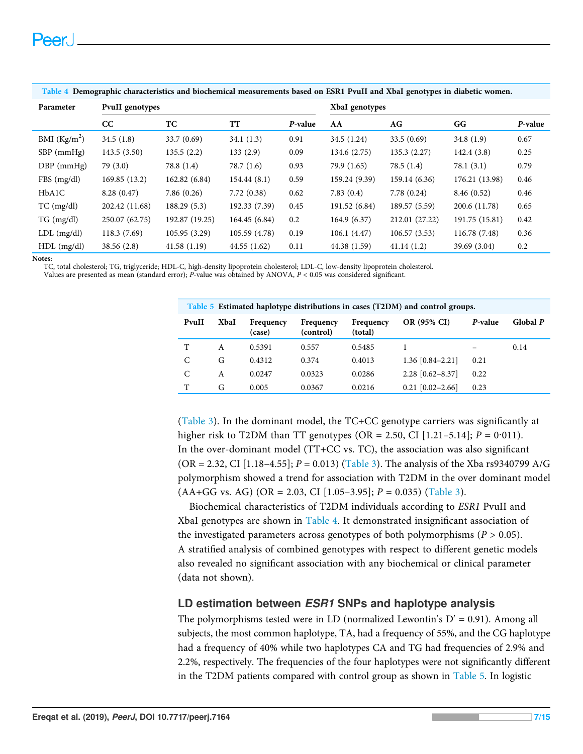| Parameter       | <b>PvuII</b> genotypes |                |               |         | XbaI genotypes |                |                |         |
|-----------------|------------------------|----------------|---------------|---------|----------------|----------------|----------------|---------|
|                 | cc                     | TC             | TT            | P-value | AA             | AG             | GG             | P-value |
| BMI $(Kg/m2)$   | 34.5(1.8)              | 33.7(0.69)     | 34.1(1.3)     | 0.91    | 34.5 (1.24)    | 33.5(0.69)     | 34.8(1.9)      | 0.67    |
| $SBP$ (mmHg)    | 143.5(3.50)            | 135.5(2.2)     | 133(2.9)      | 0.09    | 134.6 (2.75)   | 135.3(2.27)    | 142.4(3.8)     | 0.25    |
| $DBP$ (mmHg)    | 79(3.0)                | 78.8 (1.4)     | 78.7(1.6)     | 0.93    | 79.9 (1.65)    | 78.5(1.4)      | 78.1(3.1)      | 0.79    |
| FBS(mg/dl)      | 169.85(13.2)           | 162.82(6.84)   | 154.44(8.1)   | 0.59    | 159.24 (9.39)  | 159.14 (6.36)  | 176.21 (13.98) | 0.46    |
| HbA1C           | 8.28(0.47)             | 7.86(0.26)     | 7.72(0.38)    | 0.62    | 7.83(0.4)      | 7.78(0.24)     | 8.46(0.52)     | 0.46    |
| $TC$ (mg/dl)    | 202.42 (11.68)         | 188.29(5.3)    | 192.33 (7.39) | 0.45    | 191.52 (6.84)  | 189.57 (5.59)  | 200.6 (11.78)  | 0.65    |
| $TG \, (mg/dl)$ | 250.07 (62.75)         | 192.87 (19.25) | 164.45 (6.84) | 0.2     | 164.9 (6.37)   | 212.01 (27.22) | 191.75 (15.81) | 0.42    |
| $LDL$ (mg/dl)   | 118.3 (7.69)           | 105.95(3.29)   | 105.59 (4.78) | 0.19    | 106.1(4.47)    | 106.57(3.53)   | 116.78 (7.48)  | 0.36    |
| $HDL$ (mg/dl)   | 38.56(2.8)             | 41.58(1.19)    | 44.55(1.62)   | 0.11    | 44.38 (1.59)   | 41.14(1.2)     | 39.69 (3.04)   | 0.2     |

#### <span id="page-7-0"></span>Table 4 Demographic characteristics and biochemical measurements based on ESR1 PvuII and XbaI genotypes in diabetic women.

Notes:

TC, total cholesterol; TG, triglyceride; HDL-C, high-density lipoprotein cholesterol; LDL-C, low-density lipoprotein cholesterol.<br>Values are presented as mean (standard error); P-value was obtained by ANOVA, P < 0.05 was c

<span id="page-7-1"></span>

| Table 5 Estimated haplotype distributions in cases (T2DM) and control groups. |      |                     |                        |                      |                    |         |          |  |
|-------------------------------------------------------------------------------|------|---------------------|------------------------|----------------------|--------------------|---------|----------|--|
| PvuII                                                                         | XbaI | Frequency<br>(case) | Frequency<br>(control) | Frequency<br>(total) | OR (95% CI)        | P-value | Global P |  |
| T                                                                             | A    | 0.5391              | 0.557                  | 0.5485               |                    | –       | 0.14     |  |
| C                                                                             | G    | 0.4312              | 0.374                  | 0.4013               | $1.36$ [0.84-2.21] | 0.21    |          |  |
| С                                                                             | A    | 0.0247              | 0.0323                 | 0.0286               | $2.28$ [0.62-8.37] | 0.22    |          |  |
| T                                                                             | G    | 0.005               | 0.0367                 | 0.0216               | $0.21$ [0.02-2.66] | 0.23    |          |  |

([Table 3](#page-6-2)). In the dominant model, the TC+CC genotype carriers was significantly at higher risk to T2DM than TT genotypes (OR = 2.50, CI [1.21–5.14];  $P = 0.011$ ). In the over-dominant model (TT+CC vs. TC), the association was also significant  $(OR = 2.32, CI [1.18-4.55]; P = 0.013)$  ([Table 3\)](#page-6-2). The analysis of the Xba rs9340799 A/G polymorphism showed a trend for association with T2DM in the over dominant model  $(AA+GG vs. AG) (OR = 2.03, CI [1.05-3.95]; P = 0.035)$  ([Table 3\)](#page-6-2).

Biochemical characteristics of T2DM individuals according to ESR1 PvuII and XbaI genotypes are shown in [Table 4.](#page-7-0) It demonstrated insignificant association of the investigated parameters across genotypes of both polymorphisms ( $P > 0.05$ ). A stratified analysis of combined genotypes with respect to different genetic models also revealed no significant association with any biochemical or clinical parameter (data not shown).

#### LD estimation between ESR1 SNPs and haplotype analysis

The polymorphisms tested were in LD (normalized Lewontin's  $D' = 0.91$ ). Among all subjects, the most common haplotype, TA, had a frequency of 55%, and the CG haplotype had a frequency of 40% while two haplotypes CA and TG had frequencies of 2.9% and 2.2%, respectively. The frequencies of the four haplotypes were not significantly different in the T2DM patients compared with control group as shown in [Table 5.](#page-7-1) In logistic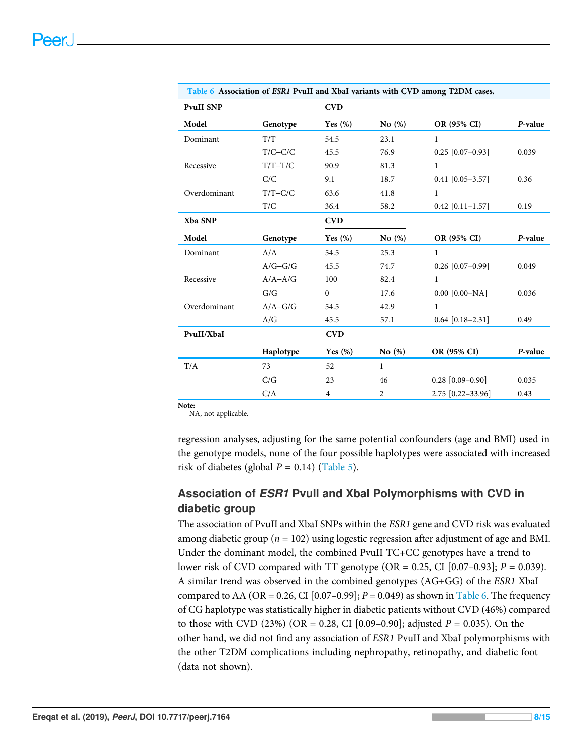|                  |             |                |              | Table <b>0</b> Association of ESRT Pyull and Abal variants with CVD among 12DM cases. |         |
|------------------|-------------|----------------|--------------|---------------------------------------------------------------------------------------|---------|
| <b>PvuII SNP</b> |             | <b>CVD</b>     |              |                                                                                       |         |
| Model            | Genotype    | Yes $(\%)$     | No $(\%)$    | OR (95% CI)                                                                           | P-value |
| Dominant         | T/T         | 54.5           | 23.1         | $\mathbf{1}$                                                                          |         |
|                  | $T/C-C/C$   | 45.5           | 76.9         | $0.25$ [0.07-0.93]                                                                    | 0.039   |
| Recessive        | $T/T-T/C$   | 90.9           | 81.3         | $\mathbf{1}$                                                                          |         |
|                  | C/C         | 9.1            | 18.7         | $0.41$ [0.05-3.57]                                                                    | 0.36    |
| Overdominant     | $T/T-C/C$   | 63.6           | 41.8         | $\mathbf{1}$                                                                          |         |
|                  | T/C         | 36.4           | 58.2         | $0.42$ [0.11-1.57]                                                                    | 0.19    |
| Xba SNP          |             | <b>CVD</b>     |              |                                                                                       |         |
| Model            | Genotype    | Yes $(\%)$     | No (%)       | OR (95% CI)                                                                           | P-value |
| Dominant         | A/A         | 54.5           | 25.3         | $\mathbf{1}$                                                                          |         |
|                  | $A/G-G/G$   | 45.5           | 74.7         | $0.26$ [0.07-0.99]                                                                    | 0.049   |
| Recessive        | $A/A - A/G$ | 100            | 82.4         | $\mathbf{1}$                                                                          |         |
|                  | G/G         | $\mathbf{0}$   | 17.6         | $0.00$ [ $0.00$ -NA]                                                                  | 0.036   |
| Overdominant     | $A/A-G/G$   | 54.5           | 42.9         | $\mathbf{1}$                                                                          |         |
|                  | A/G         | 45.5           | 57.1         | $0.64$ [0.18-2.31]                                                                    | 0.49    |
| PvuII/XbaI       |             | <b>CVD</b>     |              |                                                                                       |         |
|                  | Haplotype   | Yes $(\%)$     | No $(\%)$    | OR (95% CI)                                                                           | P-value |
| T/A              | 73          | 52             | $\mathbf{1}$ |                                                                                       |         |
|                  | C/G         | 23             | 46           | $0.28$ [0.09-0.90]                                                                    | 0.035   |
|                  | C/A         | $\overline{4}$ | 2            | 2.75 [0.22-33.96]                                                                     | 0.43    |
|                  |             |                |              |                                                                                       |         |

<span id="page-8-0"></span>Table 6 Association of ESR1 PvuII and XbaI variants with CVD among T2DM cases.

Note: NA, not applicable.

regression analyses, adjusting for the same potential confounders (age and BMI) used in the genotype models, none of the four possible haplotypes were associated with increased risk of diabetes (global  $P = 0.14$ ) ([Table 5\)](#page-7-1).

# Association of ESR1 PvuII and XbaI Polymorphisms with CVD in diabetic group

The association of PvuII and XbaI SNPs within the ESR1 gene and CVD risk was evaluated among diabetic group ( $n = 102$ ) using logestic regression after adjustment of age and BMI. Under the dominant model, the combined PvuII TC+CC genotypes have a trend to lower risk of CVD compared with TT genotype (OR =  $0.25$ , CI [0.07–0.93];  $P = 0.039$ ). A similar trend was observed in the combined genotypes (AG+GG) of the ESR1 XbaI compared to AA (OR = 0.26, CI [0.07–0.99];  $P = 0.049$ ) as shown in [Table 6](#page-8-0). The frequency of CG haplotype was statistically higher in diabetic patients without CVD (46%) compared to those with CVD (23%) (OR = 0.28, CI [0.09–0.90]; adjusted  $P = 0.035$ ). On the other hand, we did not find any association of ESR1 PvuII and XbaI polymorphisms with the other T2DM complications including nephropathy, retinopathy, and diabetic foot (data not shown).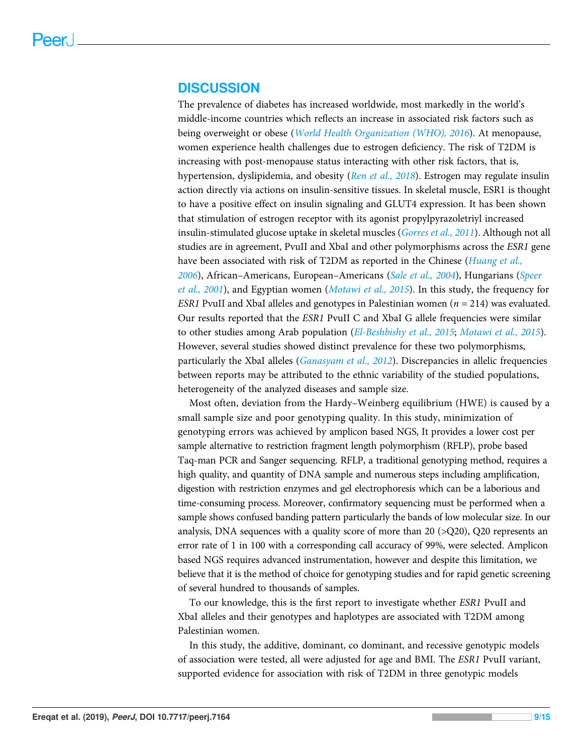#### DISCUSSION

The prevalence of diabetes has increased worldwide, most markedly in the world's middle-income countries which reflects an increase in associated risk factors such as being overweight or obese ([World Health Organization \(WHO\), 2016](#page-15-3)). At menopause, women experience health challenges due to estrogen deficiency. The risk of T2DM is increasing with post-menopause status interacting with other risk factors, that is, hypertension, dyslipidemia, and obesity ([Ren et al., 2018](#page-14-11)). Estrogen may regulate insulin action directly via actions on insulin-sensitive tissues. In skeletal muscle, ESR1 is thought to have a positive effect on insulin signaling and GLUT4 expression. It has been shown that stimulation of estrogen receptor with its agonist propylpyrazoletriyl increased insulin-stimulated glucose uptake in skeletal muscles (*[Gorres et al., 2011](#page-13-9)*). Although not all studies are in agreement, PvuII and XbaI and other polymorphisms across the ESR1 gene have been associated with risk of T2DM as reported in the Chinese ([Huang et al.,](#page-13-3) [2006](#page-13-3)), African–Americans, European–Americans ([Sale et al., 2004](#page-14-12)), Hungarians ([Speer](#page-15-4) [et al., 2001](#page-15-4)), and Egyptian women ([Motawi et al., 2015](#page-14-9)). In this study, the frequency for ESR1 PvuII and XbaI alleles and genotypes in Palestinian women ( $n = 214$ ) was evaluated. Our results reported that the ESR1 PvuII C and XbaI G allele frequencies were similar to other studies among Arab population ([El-Beshbishy et al., 2015](#page-12-4); [Motawi et al., 2015](#page-14-9)). However, several studies showed distinct prevalence for these two polymorphisms, particularly the XbaI alleles ([Ganasyam et al., 2012](#page-13-10)). Discrepancies in allelic frequencies between reports may be attributed to the ethnic variability of the studied populations, heterogeneity of the analyzed diseases and sample size.

Most often, deviation from the Hardy–Weinberg equilibrium (HWE) is caused by a small sample size and poor genotyping quality. In this study, minimization of genotyping errors was achieved by amplicon based NGS, It provides a lower cost per sample alternative to restriction fragment length polymorphism (RFLP), probe based Taq-man PCR and Sanger sequencing. RFLP, a traditional genotyping method, requires a high quality, and quantity of DNA sample and numerous steps including amplification, digestion with restriction enzymes and gel electrophoresis which can be a laborious and time-consuming process. Moreover, confirmatory sequencing must be performed when a sample shows confused banding pattern particularly the bands of low molecular size. In our analysis, DNA sequences with a quality score of more than 20 ( $>Q$ 20), Q20 represents an error rate of 1 in 100 with a corresponding call accuracy of 99%, were selected. Amplicon based NGS requires advanced instrumentation, however and despite this limitation, we believe that it is the method of choice for genotyping studies and for rapid genetic screening of several hundred to thousands of samples.

To our knowledge, this is the first report to investigate whether ESR1 PvuII and XbaI alleles and their genotypes and haplotypes are associated with T2DM among Palestinian women.

In this study, the additive, dominant, co dominant, and recessive genotypic models of association were tested, all were adjusted for age and BMI. The ESR1 PvuII variant, supported evidence for association with risk of T2DM in three genotypic models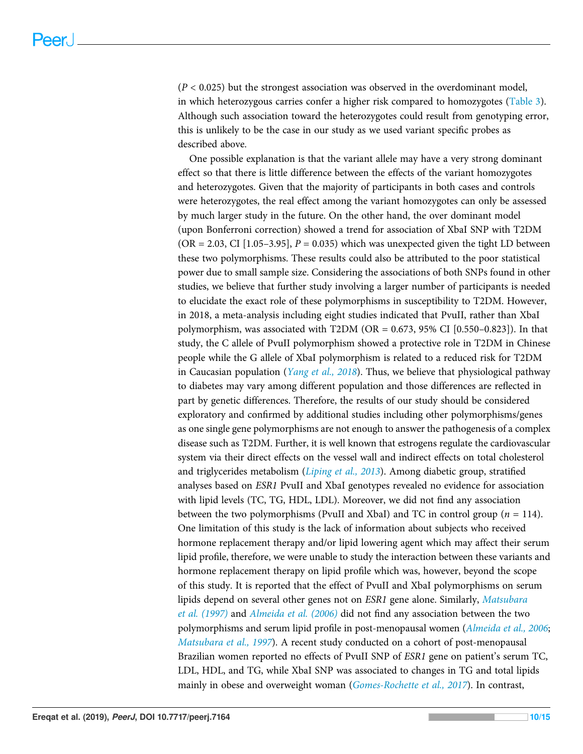$(P < 0.025)$  but the strongest association was observed in the overdominant model, in which heterozygous carries confer a higher risk compared to homozygotes ([Table 3\)](#page-6-2). Although such association toward the heterozygotes could result from genotyping error, this is unlikely to be the case in our study as we used variant specific probes as described above.

One possible explanation is that the variant allele may have a very strong dominant effect so that there is little difference between the effects of the variant homozygotes and heterozygotes. Given that the majority of participants in both cases and controls were heterozygotes, the real effect among the variant homozygotes can only be assessed by much larger study in the future. On the other hand, the over dominant model (upon Bonferroni correction) showed a trend for association of XbaI SNP with T2DM  $(OR = 2.03, CI [1.05-3.95], P = 0.035)$  which was unexpected given the tight LD between these two polymorphisms. These results could also be attributed to the poor statistical power due to small sample size. Considering the associations of both SNPs found in other studies, we believe that further study involving a larger number of participants is needed to elucidate the exact role of these polymorphisms in susceptibility to T2DM. However, in 2018, a meta-analysis including eight studies indicated that PvuII, rather than XbaI polymorphism, was associated with T2DM (OR =  $0.673$ , 95% CI [0.550–0.823]). In that study, the C allele of PvuII polymorphism showed a protective role in T2DM in Chinese people while the G allele of XbaI polymorphism is related to a reduced risk for T2DM in Caucasian population (*[Yang et al., 2018](#page-15-5)*). Thus, we believe that physiological pathway to diabetes may vary among different population and those differences are reflected in part by genetic differences. Therefore, the results of our study should be considered exploratory and confirmed by additional studies including other polymorphisms/genes as one single gene polymorphisms are not enough to answer the pathogenesis of a complex disease such as T2DM. Further, it is well known that estrogens regulate the cardiovascular system via their direct effects on the vessel wall and indirect effects on total cholesterol and triglycerides metabolism ([Liping et al., 2013](#page-13-11)). Among diabetic group, stratified analyses based on ESR1 PvuII and XbaI genotypes revealed no evidence for association with lipid levels (TC, TG, HDL, LDL). Moreover, we did not find any association between the two polymorphisms (PvuII and XbaI) and TC in control group ( $n = 114$ ). One limitation of this study is the lack of information about subjects who received hormone replacement therapy and/or lipid lowering agent which may affect their serum lipid profile, therefore, we were unable to study the interaction between these variants and hormone replacement therapy on lipid profile which was, however, beyond the scope of this study. It is reported that the effect of PvuII and XbaI polymorphisms on serum lipids depend on several other genes not on ESR1 gene alone. Similarly, [Matsubara](#page-13-12) [et al. \(1997\)](#page-13-12) and [Almeida et al. \(2006\)](#page-12-5) did not find any association between the two polymorphisms and serum lipid profile in post-menopausal women ([Almeida et al., 2006](#page-12-5); [Matsubara et al., 1997](#page-13-12)). A recent study conducted on a cohort of post-menopausal Brazilian women reported no effects of PvuII SNP of ESR1 gene on patient's serum TC, LDL, HDL, and TG, while XbaI SNP was associated to changes in TG and total lipids mainly in obese and overweight woman ([Gomes-Rochette et al., 2017](#page-13-4)). In contrast,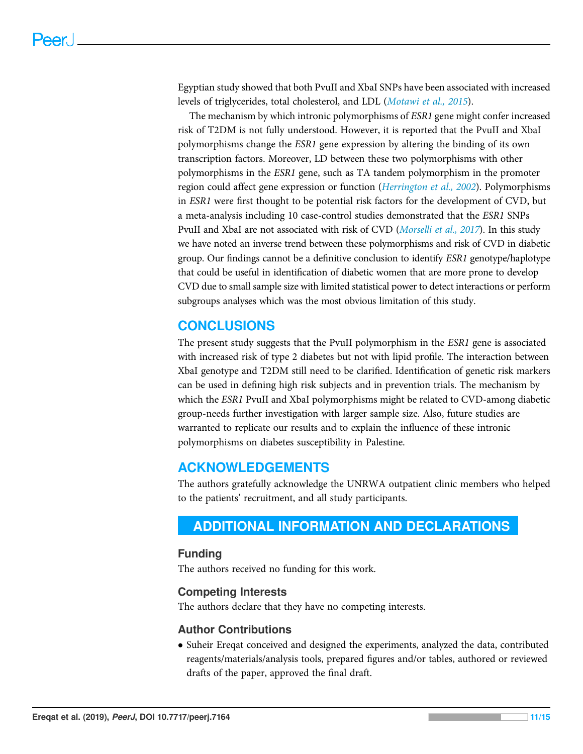Egyptian study showed that both PvuII and XbaI SNPs have been associated with increased levels of triglycerides, total cholesterol, and LDL ([Motawi et al., 2015](#page-14-9)).

The mechanism by which intronic polymorphisms of ESR1 gene might confer increased risk of T2DM is not fully understood. However, it is reported that the PvuII and XbaI polymorphisms change the ESR1 gene expression by altering the binding of its own transcription factors. Moreover, LD between these two polymorphisms with other polymorphisms in the ESR1 gene, such as TA tandem polymorphism in the promoter region could affect gene expression or function ([Herrington et al., 2002](#page-13-13)). Polymorphisms in ESR1 were first thought to be potential risk factors for the development of CVD, but a meta-analysis including 10 case-control studies demonstrated that the ESR1 SNPs PvuII and XbaI are not associated with risk of CVD ([Morselli et al., 2017](#page-14-13)). In this study we have noted an inverse trend between these polymorphisms and risk of CVD in diabetic group. Our findings cannot be a definitive conclusion to identify ESR1 genotype/haplotype that could be useful in identification of diabetic women that are more prone to develop CVD due to small sample size with limited statistical power to detect interactions or perform subgroups analyses which was the most obvious limitation of this study.

# **CONCLUSIONS**

The present study suggests that the PvuII polymorphism in the ESR1 gene is associated with increased risk of type 2 diabetes but not with lipid profile. The interaction between XbaI genotype and T2DM still need to be clarified. Identification of genetic risk markers can be used in defining high risk subjects and in prevention trials. The mechanism by which the ESR1 PvuII and XbaI polymorphisms might be related to CVD-among diabetic group-needs further investigation with larger sample size. Also, future studies are warranted to replicate our results and to explain the influence of these intronic polymorphisms on diabetes susceptibility in Palestine.

# ACKNOWLEDGEMENTS

The authors gratefully acknowledge the UNRWA outpatient clinic members who helped to the patients' recruitment, and all study participants.

# <span id="page-11-0"></span>ADDITIONAL INFORMATION AND DECLARATIONS

#### Funding

The authors received no funding for this work.

#### Competing Interests

The authors declare that they have no competing interests.

#### Author Contributions

 Suheir Ereqat conceived and designed the experiments, analyzed the data, contributed reagents/materials/analysis tools, prepared figures and/or tables, authored or reviewed drafts of the paper, approved the final draft.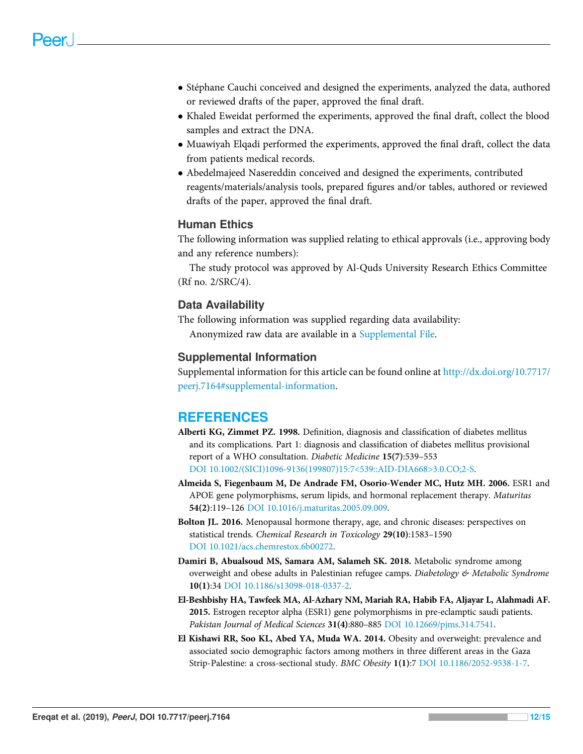- Stéphane Cauchi conceived and designed the experiments, analyzed the data, authored or reviewed drafts of the paper, approved the final draft.
- Khaled Eweidat performed the experiments, approved the final draft, collect the blood samples and extract the DNA.
- Muawiyah Elqadi performed the experiments, approved the final draft, collect the data from patients medical records.
- Abedelmajeed Nasereddin conceived and designed the experiments, contributed reagents/materials/analysis tools, prepared figures and/or tables, authored or reviewed drafts of the paper, approved the final draft.

#### Human Ethics

The following information was supplied relating to ethical approvals (i.e., approving body and any reference numbers):

The study protocol was approved by Al-Quds University Research Ethics Committee (Rf no. 2/SRC/4).

#### Data Availability

The following information was supplied regarding data availability: Anonymized raw data are available in a [Supplemental File.](http://dx.doi.org/10.7717/peerj.7164#supplemental-information)

#### Supplemental Information

Supplemental information for this article can be found online at [http://dx.doi.org/10.7717/](http://dx.doi.org/10.7717/peerj.7164#supplemental-information) [peerj.7164#supplemental-information](http://dx.doi.org/10.7717/peerj.7164#supplemental-information).

# **REFERENCES**

- <span id="page-12-2"></span>Alberti KG, Zimmet PZ. 1998. Definition, diagnosis and classification of diabetes mellitus and its complications. Part 1: diagnosis and classification of diabetes mellitus provisional report of a WHO consultation. Diabetic Medicine 15(7):539–553 [DOI 10.1002/\(SICI\)1096-9136\(199807\)15:7<539::AID-DIA668>3.0.CO;2-S.](http://dx.doi.org/10.1002/(SICI)1096-9136(199807)15:7%3C539::AID-DIA668%3E3.0.CO;2-S)
- <span id="page-12-5"></span>Almeida S, Fiegenbaum M, De Andrade FM, Osorio-Wender MC, Hutz MH. 2006. ESR1 and APOE gene polymorphisms, serum lipids, and hormonal replacement therapy. Maturitas 54(2):119–126 [DOI 10.1016/j.maturitas.2005.09.009.](http://dx.doi.org/10.1016/j.maturitas.2005.09.009)
- <span id="page-12-3"></span>Bolton JL. 2016. Menopausal hormone therapy, age, and chronic diseases: perspectives on statistical trends. Chemical Research in Toxicology 29(10):1583–1590 [DOI 10.1021/acs.chemrestox.6b00272](http://dx.doi.org/10.1021/acs.chemrestox.6b00272).
- <span id="page-12-1"></span>Damiri B, Abualsoud MS, Samara AM, Salameh SK. 2018. Metabolic syndrome among overweight and obese adults in Palestinian refugee camps. Diabetology & Metabolic Syndrome 10(1):34 [DOI 10.1186/s13098-018-0337-2.](http://dx.doi.org/10.1186/s13098-018-0337-2)
- <span id="page-12-4"></span>El-Beshbishy HA, Tawfeek MA, Al-Azhary NM, Mariah RA, Habib FA, Aljayar L, Alahmadi AF. 2015. Estrogen receptor alpha (ESR1) gene polymorphisms in pre-eclamptic saudi patients. Pakistan Journal of Medical Sciences 31(4):880–885 [DOI 10.12669/pjms.314.7541.](http://dx.doi.org/10.12669/pjms.314.7541)
- <span id="page-12-0"></span>El Kishawi RR, Soo KL, Abed YA, Muda WA. 2014. Obesity and overweight: prevalence and associated socio demographic factors among mothers in three different areas in the Gaza Strip-Palestine: a cross-sectional study. BMC Obesity 1(1):7 [DOI 10.1186/2052-9538-1-7.](http://dx.doi.org/10.1186/2052-9538-1-7)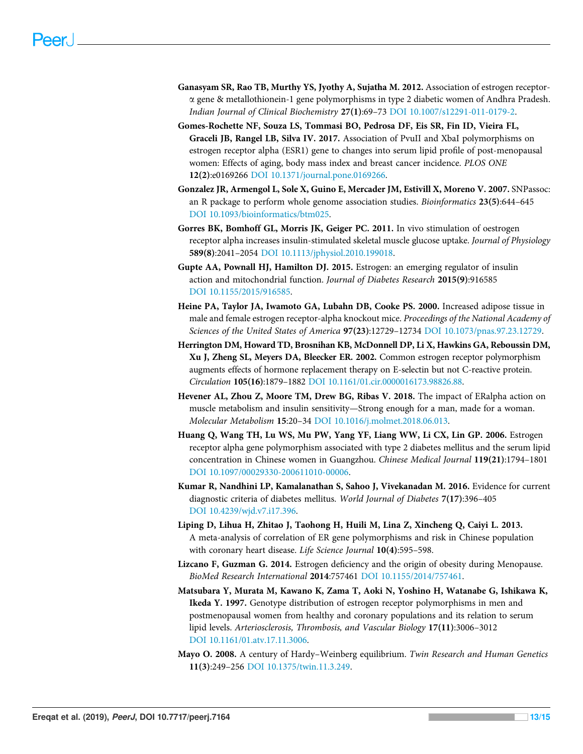- <span id="page-13-10"></span>Ganasyam SR, Rao TB, Murthy YS, Jyothy A, Sujatha M. 2012. Association of estrogen receptora gene & metallothionein-1 gene polymorphisms in type 2 diabetic women of Andhra Pradesh. Indian Journal of Clinical Biochemistry 27(1):69–73 [DOI 10.1007/s12291-011-0179-2.](http://dx.doi.org/10.1007/s12291-011-0179-2)
- <span id="page-13-4"></span>Gomes-Rochette NF, Souza LS, Tommasi BO, Pedrosa DF, Eis SR, Fin ID, Vieira FL, Graceli JB, Rangel LB, Silva IV. 2017. Association of PvuII and XbaI polymorphisms on estrogen receptor alpha (ESR1) gene to changes into serum lipid profile of post-menopausal women: Effects of aging, body mass index and breast cancer incidence. PLOS ONE 12(2):e0169266 [DOI 10.1371/journal.pone.0169266.](http://dx.doi.org/10.1371/journal.pone.0169266)
- <span id="page-13-7"></span>Gonzalez JR, Armengol L, Sole X, Guino E, Mercader JM, Estivill X, Moreno V. 2007. SNPassoc: an R package to perform whole genome association studies. Bioinformatics 23(5):644–645 [DOI 10.1093/bioinformatics/btm025.](http://dx.doi.org/10.1093/bioinformatics/btm025)
- <span id="page-13-9"></span>Gorres BK, Bomhoff GL, Morris JK, Geiger PC. 2011. In vivo stimulation of oestrogen receptor alpha increases insulin-stimulated skeletal muscle glucose uptake. Journal of Physiology 589(8):2041–2054 [DOI 10.1113/jphysiol.2010.199018.](http://dx.doi.org/10.1113/jphysiol.2010.199018)
- <span id="page-13-1"></span>Gupte AA, Pownall HJ, Hamilton DJ. 2015. Estrogen: an emerging regulator of insulin action and mitochondrial function. Journal of Diabetes Research 2015(9):916585 [DOI 10.1155/2015/916585.](http://dx.doi.org/10.1155/2015/916585)
- <span id="page-13-2"></span>Heine PA, Taylor JA, Iwamoto GA, Lubahn DB, Cooke PS. 2000. Increased adipose tissue in male and female estrogen receptor-alpha knockout mice. Proceedings of the National Academy of Sciences of the United States of America 97(23):12729–12734 [DOI 10.1073/pnas.97.23.12729](http://dx.doi.org/10.1073/pnas.97.23.12729).
- <span id="page-13-13"></span>Herrington DM, Howard TD, Brosnihan KB, McDonnell DP, Li X, Hawkins GA, Reboussin DM, Xu J, Zheng SL, Meyers DA, Bleecker ER. 2002. Common estrogen receptor polymorphism augments effects of hormone replacement therapy on E-selectin but not C-reactive protein. Circulation 105(16):1879–1882 [DOI 10.1161/01.cir.0000016173.98826.88](http://dx.doi.org/10.1161/01.cir.0000016173.98826.88).
- <span id="page-13-0"></span>Hevener AL, Zhou Z, Moore TM, Drew BG, Ribas V. 2018. The impact of ERalpha action on muscle metabolism and insulin sensitivity—Strong enough for a man, made for a woman. Molecular Metabolism 15:20–34 [DOI 10.1016/j.molmet.2018.06.013](http://dx.doi.org/10.1016/j.molmet.2018.06.013).
- <span id="page-13-3"></span>Huang Q, Wang TH, Lu WS, Mu PW, Yang YF, Liang WW, Li CX, Lin GP. 2006. Estrogen receptor alpha gene polymorphism associated with type 2 diabetes mellitus and the serum lipid concentration in Chinese women in Guangzhou. Chinese Medical Journal 119(21):1794–1801 [DOI 10.1097/00029330-200611010-00006](http://dx.doi.org/10.1097/00029330-200611010-00006).
- <span id="page-13-6"></span>Kumar R, Nandhini LP, Kamalanathan S, Sahoo J, Vivekanadan M. 2016. Evidence for current diagnostic criteria of diabetes mellitus. World Journal of Diabetes 7(17):396–405 [DOI 10.4239/wjd.v7.i17.396.](http://dx.doi.org/10.4239/wjd.v7.i17.396)
- <span id="page-13-11"></span>Liping D, Lihua H, Zhitao J, Taohong H, Huili M, Lina Z, Xincheng Q, Caiyi L. 2013. A meta-analysis of correlation of ER gene polymorphisms and risk in Chinese population with coronary heart disease. Life Science Journal 10(4):595–598.
- <span id="page-13-5"></span>Lizcano F, Guzman G. 2014. Estrogen deficiency and the origin of obesity during Menopause. BioMed Research International 2014:757461 [DOI 10.1155/2014/757461](http://dx.doi.org/10.1155/2014/757461).
- <span id="page-13-12"></span>Matsubara Y, Murata M, Kawano K, Zama T, Aoki N, Yoshino H, Watanabe G, Ishikawa K, Ikeda Y. 1997. Genotype distribution of estrogen receptor polymorphisms in men and postmenopausal women from healthy and coronary populations and its relation to serum lipid levels. Arteriosclerosis, Thrombosis, and Vascular Biology 17(11):3006–3012 [DOI 10.1161/01.atv.17.11.3006](http://dx.doi.org/10.1161/01.atv.17.11.3006).
- <span id="page-13-8"></span>Mayo O. 2008. A century of Hardy–Weinberg equilibrium. Twin Research and Human Genetics 11(3):249–256 [DOI 10.1375/twin.11.3.249.](http://dx.doi.org/10.1375/twin.11.3.249)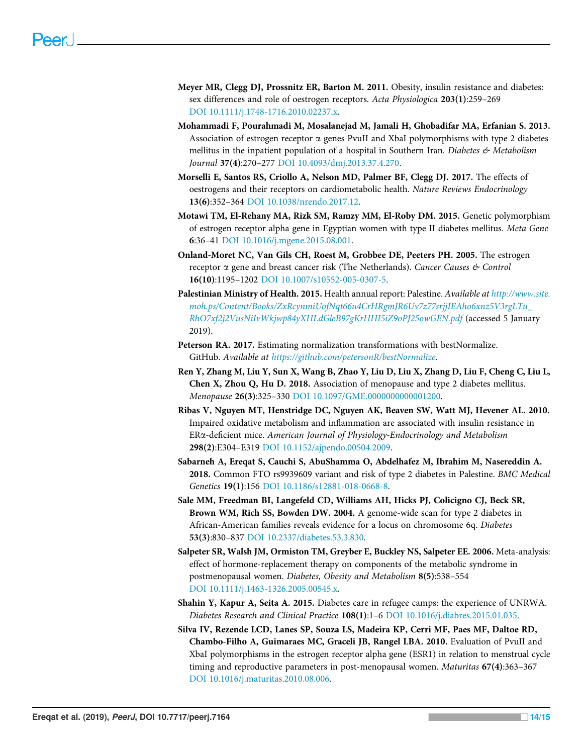- <span id="page-14-0"></span>Meyer MR, Clegg DJ, Prossnitz ER, Barton M. 2011. Obesity, insulin resistance and diabetes: sex differences and role of oestrogen receptors. Acta Physiologica 203(1):259–269 [DOI 10.1111/j.1748-1716.2010.02237.x.](http://dx.doi.org/10.1111/j.1748-1716.2010.02237.x)
- <span id="page-14-2"></span>Mohammadi F, Pourahmadi M, Mosalanejad M, Jamali H, Ghobadifar MA, Erfanian S. 2013. Association of estrogen receptor  $\alpha$  genes PvuII and XbaI polymorphisms with type 2 diabetes mellitus in the inpatient population of a hospital in Southern Iran. Diabetes  $\mathfrak{G}$  Metabolism Journal 37(4):270–277 [DOI 10.4093/dmj.2013.37.4.270](http://dx.doi.org/10.4093/dmj.2013.37.4.270).
- <span id="page-14-13"></span>Morselli E, Santos RS, Criollo A, Nelson MD, Palmer BF, Clegg DJ. 2017. The effects of oestrogens and their receptors on cardiometabolic health. Nature Reviews Endocrinology 13(6):352–364 [DOI 10.1038/nrendo.2017.12.](http://dx.doi.org/10.1038/nrendo.2017.12)
- <span id="page-14-9"></span>Motawi TM, El-Rehany MA, Rizk SM, Ramzy MM, El-Roby DM. 2015. Genetic polymorphism of estrogen receptor alpha gene in Egyptian women with type II diabetes mellitus. Meta Gene 6:36–41 [DOI 10.1016/j.mgene.2015.08.001](http://dx.doi.org/10.1016/j.mgene.2015.08.001).
- <span id="page-14-3"></span>Onland-Moret NC, Van Gils CH, Roest M, Grobbee DE, Peeters PH. 2005. The estrogen receptor α gene and breast cancer risk (The Netherlands). Cancer Causes & Control 16(10):1195–1202 [DOI 10.1007/s10552-005-0307-5.](http://dx.doi.org/10.1007/s10552-005-0307-5)
- <span id="page-14-6"></span>Palestinian Ministry of Health. 2015. Health annual report: Palestine. Available at [http://www.site.](http://www.site.moh.ps/Content/Books/ZxRcynmiUofNqt66u4CrHRgmJR6Uv7z77srjjIEAho6xnz5V3rgLTu_RhO7xf2j2VusNiIvWkjwp84yXHLdGleB97gKrHHI5iZ9oPJ25owGEN.pdf) [moh.ps/Content/Books/ZxRcynmiUofNqt66u4CrHRgmJR6Uv7z77srjjIEAho6xnz5V3rgLTu\\_](http://www.site.moh.ps/Content/Books/ZxRcynmiUofNqt66u4CrHRgmJR6Uv7z77srjjIEAho6xnz5V3rgLTu_RhO7xf2j2VusNiIvWkjwp84yXHLdGleB97gKrHHI5iZ9oPJ25owGEN.pdf) [RhO7xf2j2VusNiIvWkjwp84yXHLdGleB97gKrHHI5iZ9oPJ25owGEN.pdf](http://www.site.moh.ps/Content/Books/ZxRcynmiUofNqt66u4CrHRgmJR6Uv7z77srjjIEAho6xnz5V3rgLTu_RhO7xf2j2VusNiIvWkjwp84yXHLdGleB97gKrHHI5iZ9oPJ25owGEN.pdf) (accessed 5 January 2019).
- <span id="page-14-10"></span>Peterson RA. 2017. Estimating normalization transformations with bestNormalize. GitHub. Available at <https://github.com/petersonR/bestNormalize>.
- <span id="page-14-11"></span>Ren Y, Zhang M, Liu Y, Sun X, Wang B, Zhao Y, Liu D, Liu X, Zhang D, Liu F, Cheng C, Liu L, Chen X, Zhou Q, Hu D. 2018. Association of menopause and type 2 diabetes mellitus. Menopause 26(3):325–330 [DOI 10.1097/GME.0000000000001200.](http://dx.doi.org/10.1097/GME.0000000000001200)
- <span id="page-14-1"></span>Ribas V, Nguyen MT, Henstridge DC, Nguyen AK, Beaven SW, Watt MJ, Hevener AL. 2010. Impaired oxidative metabolism and inflammation are associated with insulin resistance in ERa-deficient mice. American Journal of Physiology-Endocrinology and Metabolism 298(2):E304–E319 [DOI 10.1152/ajpendo.00504.2009](http://dx.doi.org/10.1152/ajpendo.00504.2009).
- <span id="page-14-8"></span>Sabarneh A, Ereqat S, Cauchi S, AbuShamma O, Abdelhafez M, Ibrahim M, Nasereddin A. 2018. Common FTO rs9939609 variant and risk of type 2 diabetes in Palestine. BMC Medical Genetics 19(1):156 [DOI 10.1186/s12881-018-0668-8](http://dx.doi.org/10.1186/s12881-018-0668-8).
- <span id="page-14-12"></span>Sale MM, Freedman BI, Langefeld CD, Williams AH, Hicks PJ, Colicigno CJ, Beck SR, Brown WM, Rich SS, Bowden DW. 2004. A genome-wide scan for type 2 diabetes in African-American families reveals evidence for a locus on chromosome 6q. Diabetes 53(3):830–837 [DOI 10.2337/diabetes.53.3.830](http://dx.doi.org/10.2337/diabetes.53.3.830).
- <span id="page-14-7"></span>Salpeter SR, Walsh JM, Ormiston TM, Greyber E, Buckley NS, Salpeter EE. 2006. Meta-analysis: effect of hormone-replacement therapy on components of the metabolic syndrome in postmenopausal women. Diabetes, Obesity and Metabolism 8(5):538–554 [DOI 10.1111/j.1463-1326.2005.00545.x.](http://dx.doi.org/10.1111/j.1463-1326.2005.00545.x)
- <span id="page-14-5"></span>Shahin Y, Kapur A, Seita A. 2015. Diabetes care in refugee camps: the experience of UNRWA. Diabetes Research and Clinical Practice 108(1):1–6 [DOI 10.1016/j.diabres.2015.01.035](http://dx.doi.org/10.1016/j.diabres.2015.01.035).
- <span id="page-14-4"></span>Silva IV, Rezende LCD, Lanes SP, Souza LS, Madeira KP, Cerri MF, Paes MF, Daltoe RD, Chambo-Filho A, Guimaraes MC, Graceli JB, Rangel LBA. 2010. Evaluation of PvuII and XbaI polymorphisms in the estrogen receptor alpha gene (ESR1) in relation to menstrual cycle timing and reproductive parameters in post-menopausal women. Maturitas 67(4):363–367 [DOI 10.1016/j.maturitas.2010.08.006](http://dx.doi.org/10.1016/j.maturitas.2010.08.006).